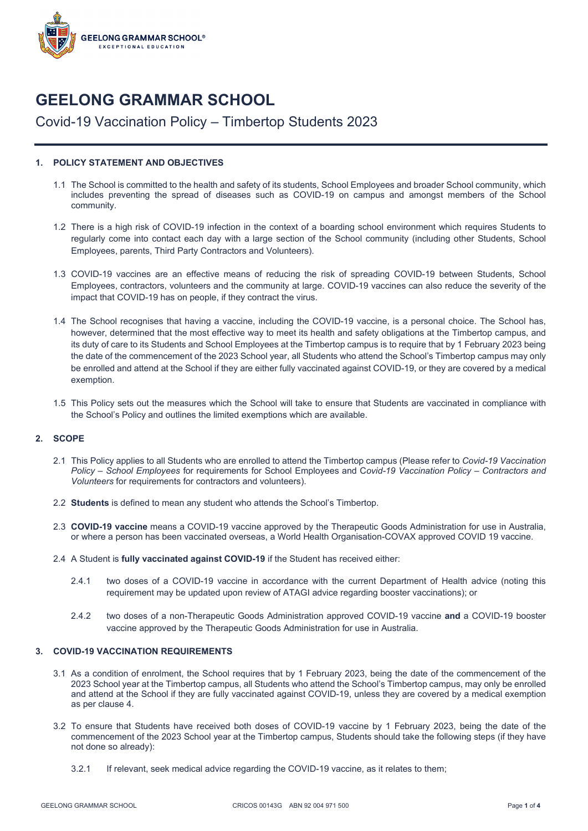

# **GEELONG GRAMMAR SCHOOL**

# Covid-19 Vaccination Policy – Timbertop Students 2023

## **1. POLICY STATEMENT AND OBJECTIVES**

- 1.1 The School is committed to the health and safety of its students, School Employees and broader School community, which includes preventing the spread of diseases such as COVID-19 on campus and amongst members of the School community.
- 1.2 There is a high risk of COVID-19 infection in the context of a boarding school environment which requires Students to regularly come into contact each day with a large section of the School community (including other Students, School Employees, parents, Third Party Contractors and Volunteers).
- 1.3 COVID-19 vaccines are an effective means of reducing the risk of spreading COVID-19 between Students, School Employees, contractors, volunteers and the community at large. COVID-19 vaccines can also reduce the severity of the impact that COVID-19 has on people, if they contract the virus.
- 1.4 The School recognises that having a vaccine, including the COVID-19 vaccine, is a personal choice. The School has, however, determined that the most effective way to meet its health and safety obligations at the Timbertop campus, and its duty of care to its Students and School Employees at the Timbertop campus is to require that by 1 February 2023 being the date of the commencement of the 2023 School year, all Students who attend the School's Timbertop campus may only be enrolled and attend at the School if they are either fully vaccinated against COVID-19, or they are covered by a medical exemption.
- 1.5 This Policy sets out the measures which the School will take to ensure that Students are vaccinated in compliance with the School's Policy and outlines the limited exemptions which are available.

## **2. SCOPE**

- 2.1 This Policy applies to all Students who are enrolled to attend the Timbertop campus (Please refer to *Covid-19 Vaccination Policy – School Employees* for requirements for School Employees and C*ovid-19 Vaccination Policy – Contractors and Volunteers* for requirements for contractors and volunteers).
- 2.2 **Students** is defined to mean any student who attends the School's Timbertop.
- 2.3 **COVID-19 vaccine** means a COVID-19 vaccine approved by the Therapeutic Goods Administration for use in Australia, or where a person has been vaccinated overseas, a World Health Organisation-COVAX approved COVID 19 vaccine.
- 2.4 A Student is **fully vaccinated against COVID-19** if the Student has received either:
	- 2.4.1 two doses of a COVID-19 vaccine in accordance with the current Department of Health advice (noting this requirement may be updated upon review of ATAGI advice regarding booster vaccinations); or
	- 2.4.2 two doses of a non-Therapeutic Goods Administration approved COVID-19 vaccine **and** a COVID-19 booster vaccine approved by the Therapeutic Goods Administration for use in Australia.

## **3. COVID-19 VACCINATION REQUIREMENTS**

- 3.1 As a condition of enrolment, the School requires that by 1 February 2023, being the date of the commencement of the 2023 School year at the Timbertop campus, all Students who attend the School's Timbertop campus, may only be enrolled and attend at the School if they are fully vaccinated against COVID-19, unless they are covered by a medical exemption as per clause 4.
- 3.2 To ensure that Students have received both doses of COVID-19 vaccine by 1 February 2023, being the date of the commencement of the 2023 School year at the Timbertop campus, Students should take the following steps (if they have not done so already):
	- 3.2.1 If relevant, seek medical advice regarding the COVID-19 vaccine, as it relates to them;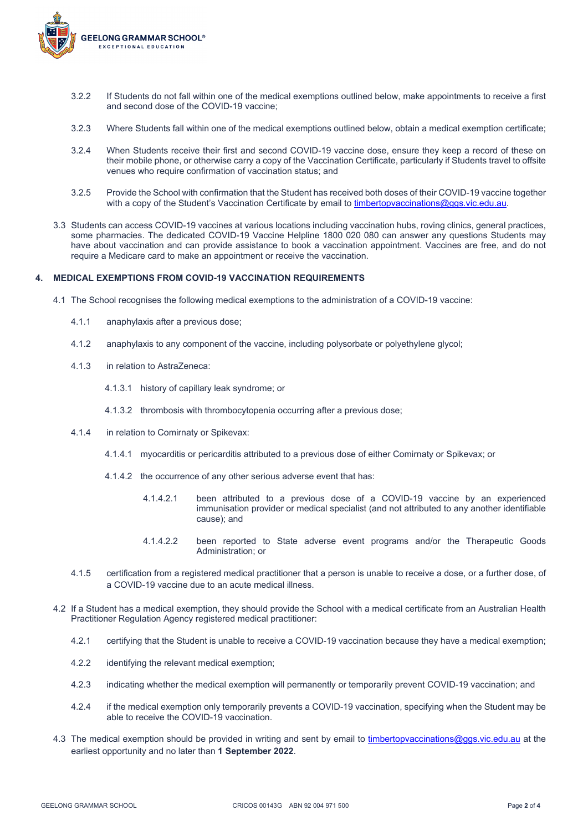

- 3.2.2 If Students do not fall within one of the medical exemptions outlined below, make appointments to receive a first and second dose of the COVID-19 vaccine;
- 3.2.3 Where Students fall within one of the medical exemptions outlined below, obtain a medical exemption certificate;
- 3.2.4 When Students receive their first and second COVID-19 vaccine dose, ensure they keep a record of these on their mobile phone, or otherwise carry a copy of the Vaccination Certificate, particularly if Students travel to offsite venues who require confirmation of vaccination status; and
- 3.2.5 Provide the School with confirmation that the Student has received both doses of their COVID-19 vaccine together with a copy of the Student's Vaccination Certificate by email to [timbertopvaccinations@ggs.vic.edu.au.](mailto:timbertopvaccinations@ggs.vic.edu.au)
- 3.3 Students can access COVID-19 vaccines at various locations including vaccination hubs, roving clinics, general practices, some pharmacies. The dedicated COVID-19 Vaccine Helpline 1800 020 080 can answer any questions Students may have about vaccination and can provide assistance to book a vaccination appointment. Vaccines are free, and do not require a Medicare card to make an appointment or receive the vaccination.

#### **4. MEDICAL EXEMPTIONS FROM COVID-19 VACCINATION REQUIREMENTS**

- 4.1 The School recognises the following medical exemptions to the administration of a COVID-19 vaccine:
	- 4.1.1 anaphylaxis after a previous dose;
	- 4.1.2 anaphylaxis to any component of the vaccine, including polysorbate or polyethylene glycol;
	- 4.1.3 in relation to AstraZeneca:
		- 4.1.3.1 history of capillary leak syndrome; or
		- 4.1.3.2 thrombosis with thrombocytopenia occurring after a previous dose;
	- 4.1.4 in relation to Comirnaty or Spikevax:
		- 4.1.4.1 myocarditis or pericarditis attributed to a previous dose of either Comirnaty or Spikevax; or
		- 4.1.4.2 the occurrence of any other serious adverse event that has:
			- 4.1.4.2.1 been attributed to a previous dose of a COVID-19 vaccine by an experienced immunisation provider or medical specialist (and not attributed to any another identifiable cause); and
			- 4.1.4.2.2 been reported to State adverse event programs and/or the Therapeutic Goods Administration; or
	- 4.1.5 certification from a registered medical practitioner that a person is unable to receive a dose, or a further dose, of a COVID-19 vaccine due to an acute medical illness.
- 4.2 If a Student has a medical exemption, they should provide the School with a medical certificate from an Australian Health Practitioner Regulation Agency registered medical practitioner:
	- 4.2.1 certifying that the Student is unable to receive a COVID-19 vaccination because they have a medical exemption;
	- 4.2.2 identifying the relevant medical exemption;
	- 4.2.3 indicating whether the medical exemption will permanently or temporarily prevent COVID-19 vaccination; and
	- 4.2.4 if the medical exemption only temporarily prevents a COVID-19 vaccination, specifying when the Student may be able to receive the COVID-19 vaccination.
- 4.3 The medical exemption should be provided in writing and sent by email to [timbertopvaccinations@ggs.vic.edu.au](mailto:timbertopvaccinations@ggs.vic.edu.au) at the earliest opportunity and no later than **1 September 2022**.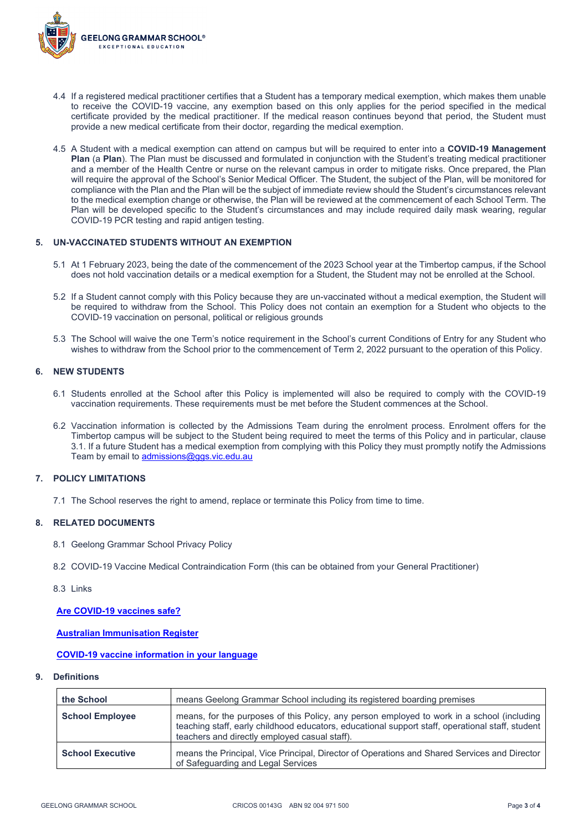

- 4.4 If a registered medical practitioner certifies that a Student has a temporary medical exemption, which makes them unable to receive the COVID-19 vaccine, any exemption based on this only applies for the period specified in the medical certificate provided by the medical practitioner. If the medical reason continues beyond that period, the Student must provide a new medical certificate from their doctor, regarding the medical exemption.
- 4.5 A Student with a medical exemption can attend on campus but will be required to enter into a **COVID-19 Management Plan** (a **Plan**). The Plan must be discussed and formulated in conjunction with the Student's treating medical practitioner and a member of the Health Centre or nurse on the relevant campus in order to mitigate risks. Once prepared, the Plan will require the approval of the School's Senior Medical Officer. The Student, the subject of the Plan, will be monitored for compliance with the Plan and the Plan will be the subject of immediate review should the Student's circumstances relevant to the medical exemption change or otherwise, the Plan will be reviewed at the commencement of each School Term. The Plan will be developed specific to the Student's circumstances and may include required daily mask wearing, regular COVID-19 PCR testing and rapid antigen testing.

## **5. UN-VACCINATED STUDENTS WITHOUT AN EXEMPTION**

- 5.1 At 1 February 2023, being the date of the commencement of the 2023 School year at the Timbertop campus, if the School does not hold vaccination details or a medical exemption for a Student, the Student may not be enrolled at the School.
- 5.2 If a Student cannot comply with this Policy because they are un-vaccinated without a medical exemption, the Student will be required to withdraw from the School. This Policy does not contain an exemption for a Student who objects to the COVID-19 vaccination on personal, political or religious grounds
- 5.3 The School will waive the one Term's notice requirement in the School's current Conditions of Entry for any Student who wishes to withdraw from the School prior to the commencement of Term 2, 2022 pursuant to the operation of this Policy.

#### **6. NEW STUDENTS**

- 6.1 Students enrolled at the School after this Policy is implemented will also be required to comply with the COVID-19 vaccination requirements. These requirements must be met before the Student commences at the School.
- 6.2 Vaccination information is collected by the Admissions Team during the enrolment process. Enrolment offers for the Timbertop campus will be subject to the Student being required to meet the terms of this Policy and in particular, clause 3.1. If a future Student has a medical exemption from complying with this Policy they must promptly notify the Admissions Team by email t[o admissions@ggs.vic.edu.au](mailto:admissions@ggs.vic.edu.au)

#### **7. POLICY LIMITATIONS**

7.1 The School reserves the right to amend, replace or terminate this Policy from time to time.

#### **8. RELATED DOCUMENTS**

- 8.1 Geelong Grammar School Privacy Policy
- 8.2 COVID-19 Vaccine Medical Contraindication Form (this can be obtained from your General Practitioner)
- 8.3 Links

**[Are COVID-19 vaccines safe?](https://www.health.gov.au/initiatives-and-programs/covid-19-vaccines/learn-about-covid-19-vaccines/are-covid-19-vaccines-safe)**

#### **[Australian Immunisation Register](https://www.servicesaustralia.gov.au/individuals/services/medicare/australian-immunisation-register)**

#### **[COVID-19 vaccine information in your language](https://www.health.gov.au/initiatives-and-programs/covid-19-vaccines/covid-19-vaccine-information-in-your-language)**

**9. Definitions**

| the School              | means Geelong Grammar School including its registered boarding premises                                                                                                                                                                         |
|-------------------------|-------------------------------------------------------------------------------------------------------------------------------------------------------------------------------------------------------------------------------------------------|
| <b>School Employee</b>  | means, for the purposes of this Policy, any person employed to work in a school (including<br>teaching staff, early childhood educators, educational support staff, operational staff, student<br>teachers and directly employed casual staff). |
| <b>School Executive</b> | means the Principal, Vice Principal, Director of Operations and Shared Services and Director<br>of Safeguarding and Legal Services                                                                                                              |